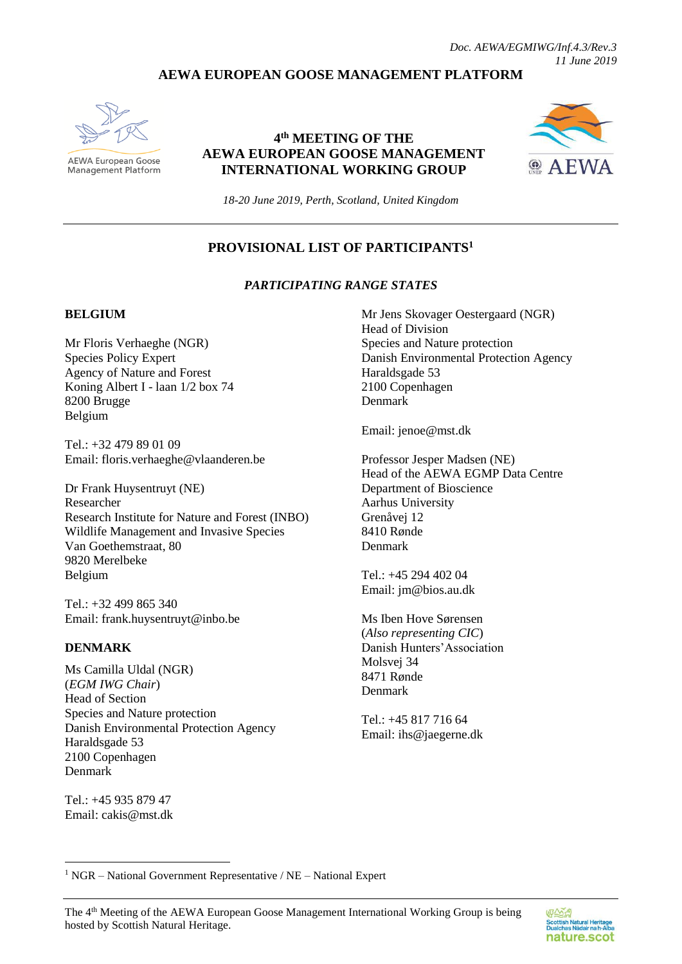# **AEWA EUROPEAN GOOSE MANAGEMENT PLATFORM**



**AEWA European Goose** Management Platform

# **4 th MEETING OF THE AEWA EUROPEAN GOOSE MANAGEMENT INTERNATIONAL WORKING GROUP**



*18-20 June 2019, Perth, Scotland, United Kingdom*

# **PROVISIONAL LIST OF PARTICIPANTS<sup>1</sup>**

### *PARTICIPATING RANGE STATES*

#### **BELGIUM**

Mr Floris Verhaeghe (NGR) Species Policy Expert Agency of Nature and Forest Koning Albert I - laan 1/2 box 74 8200 Brugge Belgium

Tel.: +32 479 89 01 09 Email: floris.verhaeghe@vlaanderen.be

Dr Frank Huysentruyt (NE) Researcher Research Institute for Nature and Forest (INBO) Wildlife Management and Invasive Species Van Goethemstraat, 80 9820 Merelbeke Belgium

Tel.: +32 499 865 340 Email: [frank.huysentruyt@inbo.be](mailto:frank.huysentruyt@inbo.be)

#### **DENMARK**

Ms Camilla Uldal (NGR) (*EGM IWG Chair*) Head of Section Species and Nature protection Danish Environmental Protection Agency Haraldsgade 53 2100 Copenhagen Denmark

Tel.: +45 935 879 47 Email: cakis@mst.dk

1

Mr Jens Skovager Oestergaard (NGR) Head of Division Species and Nature protection Danish Environmental Protection Agency Haraldsgade 53 2100 Copenhagen Denmark

Email: jenoe@mst.dk

Professor Jesper Madsen (NE) Head of the AEWA EGMP Data Centre Department of Bioscience Aarhus University Grenåvej 12 8410 Rønde Denmark

Tel.: +45 294 402 04 Email[: jm@bios.au.dk](mailto:jm@bios.au.dk)

Ms Iben Hove Sørensen (*Also representing CIC*) Danish Hunters'Association Molsvej 34 8471 Rønde Denmark

Tel.: +45 817 716 64 Email[: ihs@jaegerne.dk](mailto:ihs@jaegerne.dk)

<sup>1</sup> NGR – National Government Representative / NE – National Expert

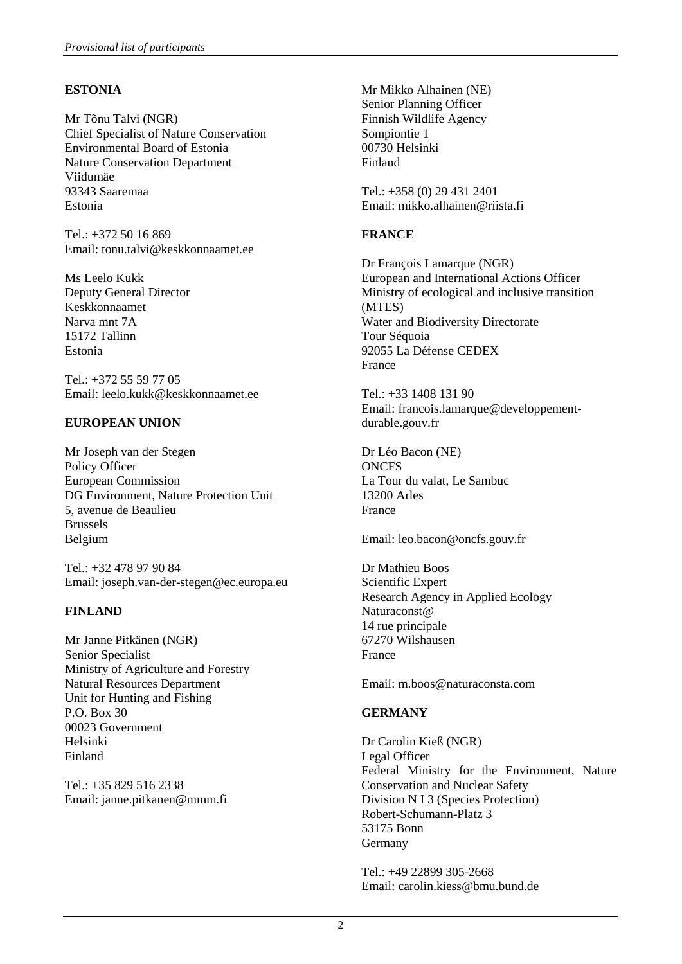## **ESTONIA**

Mr Tõnu Talvi (NGR) Chief Specialist of Nature Conservation Environmental Board of Estonia Nature Conservation Department Viidumäe 93343 Saaremaa Estonia

 $Tel \cdot +372, 50, 16, 869$ Email: tonu.talvi@keskkonnaamet.ee

Ms Leelo Kukk Deputy General Director Keskkonnaamet Narva mnt 7A 15172 Tallinn Estonia

Tel.: +372 55 59 77 05 Email: leelo.kukk@keskkonnaamet.ee

### **EUROPEAN UNION**

Mr Joseph van der Stegen Policy Officer European Commission DG Environment, Nature Protection Unit 5, avenue de Beaulieu Brussels Belgium

Tel.: +32 478 97 90 84 Email: joseph.van-der-stegen@ec.europa.eu

### **FINLAND**

Mr Janne Pitkänen (NGR) Senior Specialist Ministry of Agriculture and Forestry Natural Resources Department Unit for Hunting and Fishing P.O. Box 30 00023 Government Helsinki Finland

Tel.: +35 829 516 2338 Email: [janne.pitkanen@mmm.fi](mailto:janne.pitkanen@mmm.fi) Mr Mikko Alhainen (NE) Senior Planning Officer Finnish Wildlife Agency Sompiontie 1 00730 Helsinki Finland

Tel.: +358 (0) 29 431 2401 Email[: mikko.alhainen@riista.fi](mailto:mikko.alhainen@riista.fi)

## **FRANCE**

Dr François Lamarque (NGR) European and International Actions Officer Ministry of ecological and inclusive transition (MTES) Water and Biodiversity Directorate Tour Séquoia 92055 La Défense CEDEX France

Tel.: +33 1408 131 90 Email: [francois.lamarque@developpement](mailto:francois.lamarque@developpement-durable.gouv.fr)[durable.gouv.fr](mailto:francois.lamarque@developpement-durable.gouv.fr)

Dr Léo Bacon (NE) **ONCFS** La Tour du valat, Le Sambuc 13200 Arles France

Email: leo.bacon@oncfs.gouv.fr

Dr Mathieu Boos Scientific Expert Research Agency in Applied Ecology Naturaconst@ 14 rue principale 67270 Wilshausen France

Email: m.boos@naturaconsta.com

# **GERMANY**

Dr Carolin Kieß (NGR) Legal Officer Federal Ministry for the Environment, Nature Conservation and Nuclear Safety Division N I 3 (Species Protection) Robert-Schumann-Platz 3 53175 Bonn Germany

Tel.: +49 22899 305-2668 Email: carolin.kiess@bmu.bund.de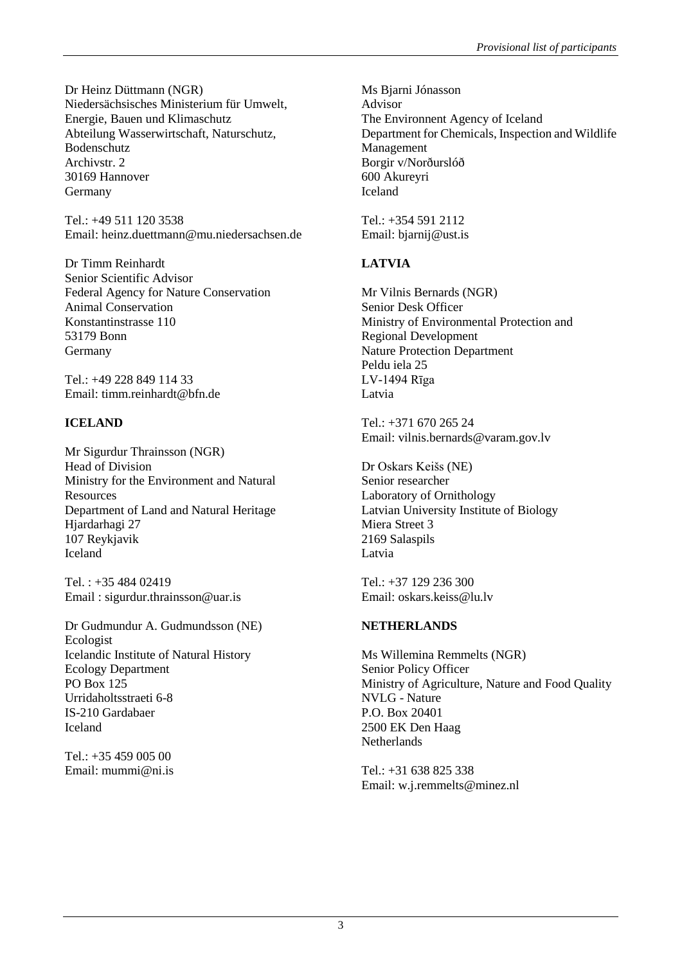Dr Heinz Düttmann (NGR) Niedersächsisches Ministerium für Umwelt, Energie, Bauen und Klimaschutz Abteilung Wasserwirtschaft, Naturschutz, Bodenschutz Archivstr. 2 30169 Hannover Germany

Tel.: +49 511 120 3538 Email: heinz.duettmann@mu.niedersachsen.de

Dr Timm Reinhardt Senior Scientific Advisor Federal Agency for Nature Conservation Animal Conservation Konstantinstrasse 110 53179 Bonn Germany

Tel.: +49 228 849 114 33 Email: timm.reinhardt@bfn.de

# **ICELAND**

Mr Sigurdur Thrainsson (NGR) Head of Division Ministry for the Environment and Natural **Resources** Department of Land and Natural Heritage Hjardarhagi 27 107 Reykjavik Iceland

Tel. : +35 484 02419 Email : sigurdur.thrainsson@uar.is

Dr Gudmundur A. Gudmundsson (NE) Ecologist Icelandic Institute of Natural History Ecology Department PO Box 125 Urridaholtsstraeti 6-8 IS-210 Gardabaer Iceland

Tel.: +35 459 005 00 Email: [mummi@ni.is](mailto:mummi@ni.is) Ms Bjarni Jónasson Advisor The Environnent Agency of Iceland Department for Chemicals, Inspection and Wildlife Management Borgir v/Norðurslóð 600 Akureyri Iceland

Tel.: +354 591 2112 Email: bjarnij@ust.is

# **LATVIA**

Mr Vilnis Bernards (NGR) Senior Desk Officer Ministry of Environmental Protection and Regional Development Nature Protection Department Peldu iela 25 LV-1494 Rīga Latvia

Tel.: +371 670 265 24 Email: vilnis.bernards@varam.gov.lv

Dr Oskars Keišs (NE) Senior researcher Laboratory of Ornithology Latvian University Institute of Biology Miera Street 3 2169 Salaspils Latvia

Tel.: +37 129 236 300 Email[: oskars.keiss@lu.lv](mailto:oskars.keiss@lu.lv)

# **NETHERLANDS**

Ms Willemina Remmelts (NGR) Senior Policy Officer Ministry of Agriculture, Nature and Food Quality NVLG - Nature P.O. Box 20401 2500 EK Den Haag **Netherlands** 

Tel.: +31 638 825 338 Email[: w.j.remmelts@minez.nl](mailto:w.j.remmelts@minez.nl)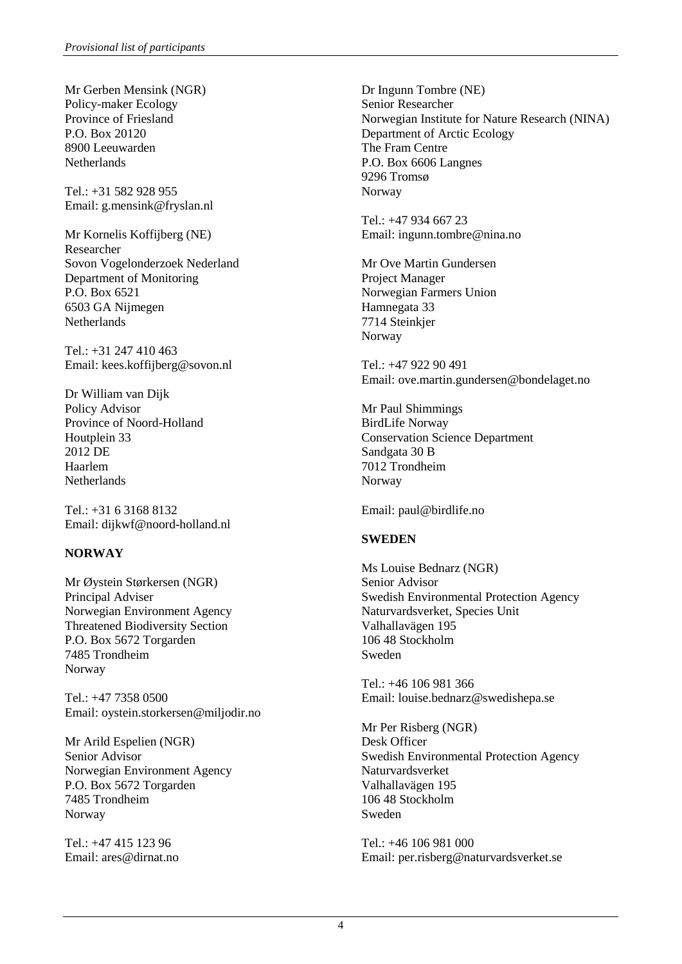Mr Gerben Mensink (NGR) Policy-maker Ecology Province of Friesland P.O. Box 20120 8900 Leeuwarden **Netherlands** 

Tel.: +31 582 928 955 Email: [g.mensink@fryslan.nl](mailto:g.mensink@fryslan.nl)

Mr Kornelis Koffijberg (NE) Researcher Sovon Vogelonderzoek Nederland Department of Monitoring P.O. Box 6521 6503 GA Nijmegen **Netherlands** 

Tel.: +31 247 410 463 Email: [kees.koffijberg@sovon.nl](mailto:kees.koffijberg@sovon.nl)

Dr William van Dijk Policy Advisor Province of Noord-Holland Houtplein 33 2012 DE Haarlem Netherlands

Tel.: +31 6 3168 8132 Email: dijkwf@noord-holland.nl

# **NORWAY**

Mr Øystein Størkersen (NGR) Principal Adviser Norwegian Environment Agency Threatened Biodiversity Section P.O. Box 5672 Torgarden 7485 Trondheim Norway

Tel.: +47 7358 0500 Email: [oystein.storkersen@miljodir.no](mailto:oystein.storkersen@miljodir.no)

Mr Arild Espelien (NGR) Senior Advisor Norwegian Environment Agency P.O. Box 5672 Torgarden 7485 Trondheim Norway

Tel.: +47 415 123 96 Email: [ares@dirnat.no](mailto:ares@dirnat.no) Dr Ingunn Tombre (NE) Senior Researcher Norwegian Institute for Nature Research (NINA) Department of Arctic Ecology The Fram Centre P.O. Box 6606 Langnes 9296 Tromsø Norway

Tel.: +47 934 667 23 Email[: ingunn.tombre@nina.no](mailto:ingunn.tombre@nina.no)

Mr Ove Martin Gundersen Project Manager Norwegian Farmers Union Hamnegata 33 7714 Steinkjer Norway

Tel.: +47 922 90 491 Email: ove.martin.gundersen@bondelaget.no

Mr Paul Shimmings BirdLife Norway Conservation Science Department Sandgata 30 B 7012 Trondheim Norway

Email: paul@birdlife.no

# **SWEDEN**

Ms Louise Bednarz (NGR) Senior Advisor Swedish Environmental Protection Agency Naturvardsverket, Species Unit Valhallavägen 195 106 48 Stockholm Sweden

Tel.: +46 106 981 366 Email: louise.bednarz@swedishepa.se

Mr Per Risberg (NGR) Desk Officer Swedish Environmental Protection Agency Naturvardsverket Valhallavägen 195 106 48 Stockholm Sweden

Tel.: +46 106 981 000 Email[: per.risberg@naturvardsverket.se](mailto:per.risberg@naturvardsverket.se)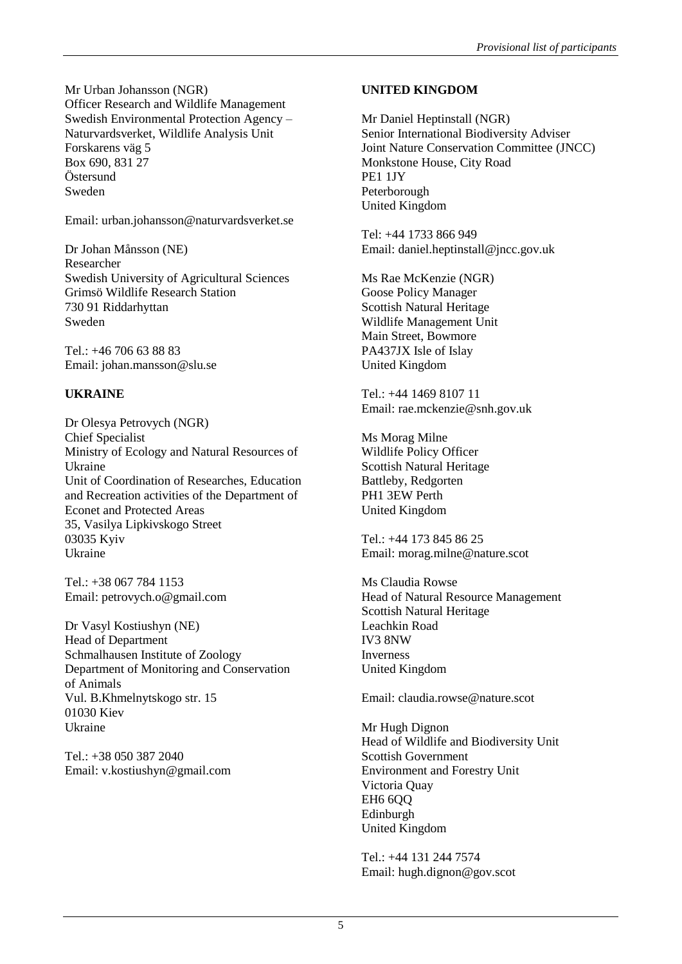Mr Urban Johansson (NGR) Officer Research and Wildlife Management Swedish Environmental Protection Agency – Naturvardsverket, Wildlife Analysis Unit Forskarens väg 5 Box 690, 831 27 Östersund Sweden

Email: urban.johansson@naturvardsverket.se

Dr Johan Månsson (NE) Researcher Swedish University of Agricultural Sciences Grimsö Wildlife Research Station 730 91 Riddarhyttan Sweden

Tel.: +46 706 63 88 83 Email: [johan.mansson@slu.se](mailto:johan.mansson@slu.se)

# **UKRAINE**

Dr Olesya Petrovych (NGR) Chief Specialist Ministry of Ecology and Natural Resources of Ukraine Unit of Coordination of Researches, Education and Recreation activities of the Department of Econet and Protected Areas 35, Vasilya Lipkivskogo Street 03035 Kyiv Ukraine

Tel.: +38 067 784 1153 Email: [petrovych.o@gmail.com](mailto:petrovych.o@gmail.com)

Dr Vasyl Kostiushyn (NE) Head of Department Schmalhausen Institute of Zoology Department of Monitoring and Conservation of Animals Vul. B.Khmelnytskogo str. 15 01030 Kiev Ukraine

Tel.: +38 050 387 2040 Email: [v.kostiushyn@gmail.com](mailto:v.kostiushyn@gmail.com)

# **UNITED KINGDOM**

Mr Daniel Heptinstall (NGR) Senior International Biodiversity Adviser Joint Nature Conservation Committee (JNCC) Monkstone House, City Road PE1 1JY Peterborough United Kingdom

Tel: +44 1733 866 949 Email: daniel.heptinstall@jncc.gov.uk

Ms Rae McKenzie (NGR) Goose Policy Manager Scottish Natural Heritage Wildlife Management Unit Main Street, Bowmore PA437JX Isle of Islay United Kingdom

Tel.: +44 1469 8107 11 Email: rae.mckenzie@snh.gov.uk

Ms Morag Milne Wildlife Policy Officer Scottish Natural Heritage Battleby, Redgorten PH1 3EW Perth United Kingdom

Tel.: +44 173 845 86 25 Email: morag.milne@nature.scot

Ms Claudia Rowse Head of Natural Resource Management Scottish Natural Heritage Leachkin Road IV3 8NW Inverness United Kingdom

Email: claudia.rowse@nature.scot

Mr Hugh Dignon Head of Wildlife and Biodiversity Unit Scottish Government Environment and Forestry Unit Victoria Quay **EH6 6OO** Edinburgh United Kingdom

Tel.: +44 131 244 7574 Email: hugh.dignon@gov.scot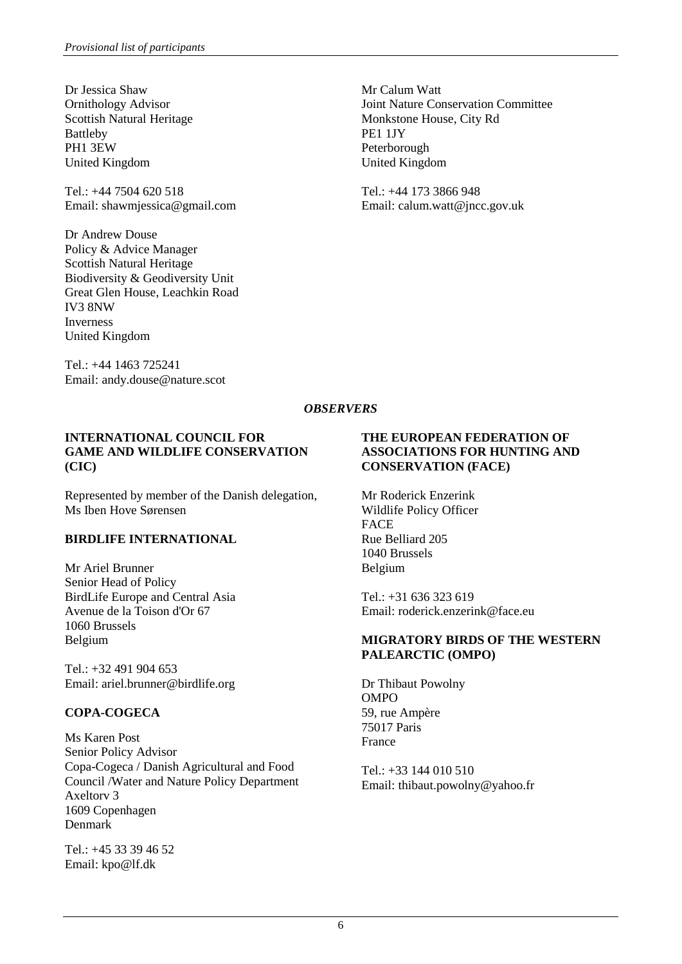Dr Jessica Shaw Ornithology Advisor Scottish Natural Heritage Battleby PH1 3EW United Kingdom

Tel.: +44 7504 620 518 Email: shawmjessica@gmail.com

Dr Andrew Douse Policy & Advice Manager Scottish Natural Heritage Biodiversity & Geodiversity Unit Great Glen House, Leachkin Road IV3 8NW Inverness United Kingdom

Tel.: +44 1463 725241 Email: andy.douse@nature.scot Mr Calum Watt Joint Nature Conservation Committee Monkstone House, City Rd PE1 1JY Peterborough United Kingdom

Tel.: +44 173 3866 948 Email: calum.watt@jncc.gov.uk

## *OBSERVERS*

#### **INTERNATIONAL COUNCIL FOR GAME AND WILDLIFE CONSERVATION (CIC)**

Represented by member of the Danish delegation, Ms Iben Hove Sørensen

### **BIRDLIFE INTERNATIONAL**

Mr Ariel Brunner Senior Head of Policy BirdLife Europe and Central Asia Avenue de la Toison d'Or 67 1060 Brussels Belgium

Tel.: +32 491 904 653 Email: ariel.brunner@birdlife.org

# **COPA-COGECA**

Ms Karen Post Senior Policy Advisor Copa-Cogeca / Danish Agricultural and Food Council /Water and Nature Policy Department Axeltorv 3 1609 Copenhagen Denmark

Tel.: +45 33 39 46 52 Email: [kpo@lf.dk](mailto:kpo@lf.dk)

## **THE EUROPEAN FEDERATION OF ASSOCIATIONS FOR HUNTING AND CONSERVATION (FACE)**

Mr Roderick Enzerink Wildlife Policy Officer **FACE** Rue Belliard 205 1040 Brussels Belgium

Tel.: +31 636 323 619 Email: roderick.enzerink@face.eu

#### **MIGRATORY BIRDS OF THE WESTERN PALEARCTIC (OMPO)**

Dr Thibaut Powolny OMPO 59, rue Ampère 75017 Paris France

Tel.: +33 144 010 510 Email: thibaut.powolny@yahoo.fr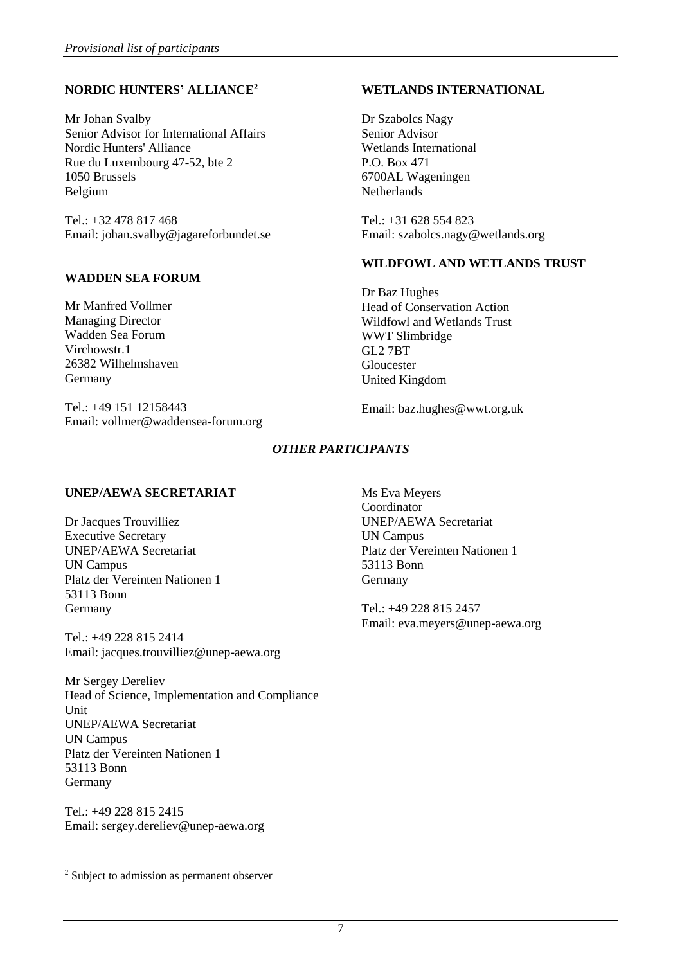# **NORDIC HUNTERS' ALLIANCE<sup>2</sup>**

Mr Johan Svalby Senior Advisor for International Affairs Nordic Hunters' Alliance Rue du Luxembourg 47-52, bte 2 1050 Brussels Belgium

Tel.: +32 478 817 468 Email: johan.svalby@jagareforbundet.se

### **WADDEN SEA FORUM**

Mr Manfred Vollmer Managing Director Wadden Sea Forum Virchowstr.1 26382 Wilhelmshaven Germany

Tel.: +49 151 12158443 Email: vollmer@waddensea-forum.org

### **WETLANDS INTERNATIONAL**

Dr Szabolcs Nagy Senior Advisor Wetlands International P.O. Box 471 6700AL Wageningen **Netherlands** 

Tel.: +31 628 554 823 Email[: szabolcs.nagy@wetlands.org](mailto:szabolcs.nagy@wetlands.org)

### **WILDFOWL AND WETLANDS TRUST**

Dr Baz Hughes Head of Conservation Action Wildfowl and Wetlands Trust WWT Slimbridge GL2 7BT Gloucester United Kingdom

Email: baz.hughes@wwt.org.uk

# *OTHER PARTICIPANTS*

### **UNEP/AEWA SECRETARIAT**

Dr Jacques Trouvilliez Executive Secretary UNEP/AEWA Secretariat UN Campus Platz der Vereinten Nationen 1 53113 Bonn Germany

Tel.: +49 228 815 2414 Email: jacques.trouvilliez@unep-aewa.org

Mr Sergey Dereliev Head of Science, Implementation and Compliance Unit UNEP/AEWA Secretariat UN Campus Platz der Vereinten Nationen 1 53113 Bonn Germany

Tel.: +49 228 815 2415 Email: [sergey.dereliev@unep-aewa.org](mailto:sergey.dereliev@unep-aewa.org) Tel.: +49 228 815 2457 Email: eva.meyers@unep-aewa.org

1

Ms Eva Meyers Coordinator UNEP/AEWA Secretariat UN Campus Platz der Vereinten Nationen 1 53113 Bonn Germany

<sup>2</sup> Subject to admission as permanent observer